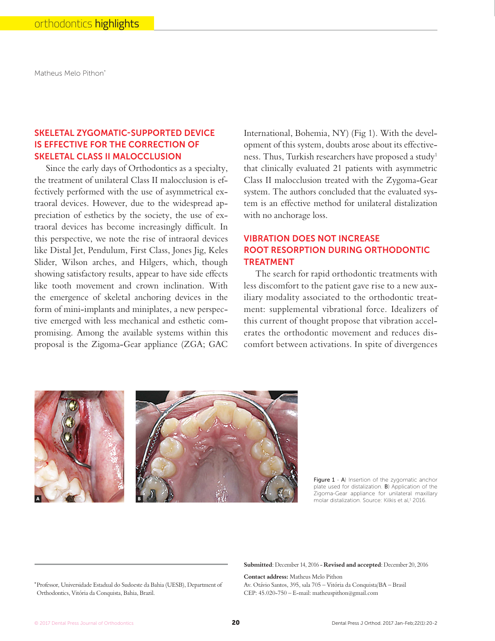Matheus Melo Pithon\*

# SKELETAL ZYGOMATIC-SUPPORTED DEVICE IS EFFECTIVE FOR THE CORRECTION OF SKELETAL CLASS II MALOCCLUSION

Since the early days of Orthodontics as a specialty, the treatment of unilateral Class II malocclusion is effectively performed with the use of asymmetrical extraoral devices. However, due to the widespread appreciation of esthetics by the society, the use of extraoral devices has become increasingly difficult. In this perspective, we note the rise of intraoral devices like Distal Jet, Pendulum, First Class, Jones Jig, Keles Slider, Wilson arches, and Hilgers, which, though showing satisfactory results, appear to have side effects like tooth movement and crown inclination. With the emergence of skeletal anchoring devices in the form of mini-implants and miniplates, a new perspective emerged with less mechanical and esthetic compromising. Among the available systems within this proposal is the Zigoma-Gear appliance (ZGA; GAC International, Bohemia, NY) (Fig 1). With the development of this system, doubts arose about its effectiveness. Thus, Turkish researchers have proposed a study<sup>1</sup> that clinically evaluated 21 patients with asymmetric Class II malocclusion treated with the Zygoma-Gear system. The authors concluded that the evaluated system is an effective method for unilateral distalization with no anchorage loss.

# VIBRATION DOES NOT INCREASE ROOT RESORPTION DURING ORTHODONTIC TREATMENT

The search for rapid orthodontic treatments with less discomfort to the patient gave rise to a new auxiliary modality associated to the orthodontic treatment: supplemental vibrational force. Idealizers of this current of thought propose that vibration accelerates the orthodontic movement and reduces discomfort between activations. In spite of divergences



Figure 1 - A) Insertion of the zygomatic anchor plate used for distalization. B) Application of the Zigoma-Gear appliance for unilateral maxillary molar distalization. Source: Kilkis et al,<sup>1</sup> 2016.

**Submitted**: December 14, 2016 - **Revised and accepted**: December 20, 2016

**Contact address:** Matheus Melo Pithon Av. Otávio Santos, 395, sala 705 – Vitória da Conquista/BA – Brasil CEP: 45.020-750 – E-mail: matheuspithon@gmail.com

<sup>\*</sup> Professor, Universidade Estadual do Sudoeste da Bahia (UESB), Department of Orthodontics, Vitória da Conquista, Bahia, Brazil.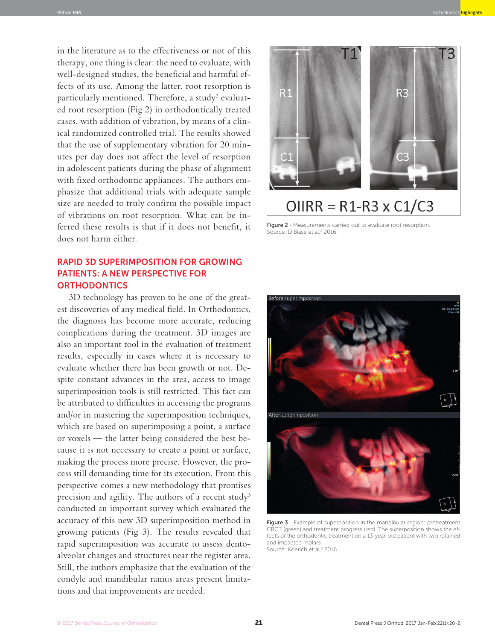in the literature as to the effectiveness or not of this therapy, one thing is clear: the need to evaluate, with well-designed studies, the beneficial and harmful effects of its use. Among the latter, root resorption is particularly mentioned. Therefore, a study<sup>2</sup> evaluated root resorption (Fig 2) in orthodontically treated cases, with addition of vibration, by means of a clinical randomized controlled trial. The results showed that the use of supplementary vibration for 20 minutes per day does not affect the level of resorption in adolescent patients during the phase of alignment with fixed orthodontic appliances. The authors emphasize that additional trials with adequate sample size are needed to truly confirm the possible impact of vibrations on root resorption. What can be inferred these results is that if it does not benefit, it does not harm either.

## RAPID 3D SUPERIMPOSITION FOR GROWING PATIENTS: A NEW PERSPECTIVE FOR **ORTHODONTICS**

3D technology has proven to be one of the greatest discoveries of any medical field. In Orthodontics, the diagnosis has become more accurate, reducing complications during the treatment. 3D images are also an important tool in the evaluation of treatment results, especially in cases where it is necessary to evaluate whether there has been growth or not. Despite constant advances in the area, access to image superimposition tools is still restricted. This fact can be attributed to difficulties in accessing the programs and/or in mastering the superimposition techniques, which are based on superimposing a point, a surface or voxels — the latter being considered the best because it is not necessary to create a point or surface, making the process more precise. However, the process still demanding time for its execution. From this perspective comes a new methodology that promises precision and agility. The authors of a recent study<sup>3</sup> conducted an important survey which evaluated the accuracy of this new 3D superimposition method in growing patients (Fig 3). The results revealed that rapid superimposition was accurate to assess dentoalveolar changes and structures near the register area. Still, the authors emphasize that the evaluation of the condyle and mandibular ramus areas present limitations and that improvements are needed.



Figure 2 - Measurements carried out to evaluate root resorption. Source: DiBiase et al,<sup>2</sup> 2016.



Figure 3 - Example of superposition in the mandibular region: pretreatment CBCT (green) and treatment progress (red). The superposition shows the effects of the orthodontic treatment on a 13-year-old patient with two retained and impacted molars. Source: Koerich et al,<sup>3</sup> 2016.